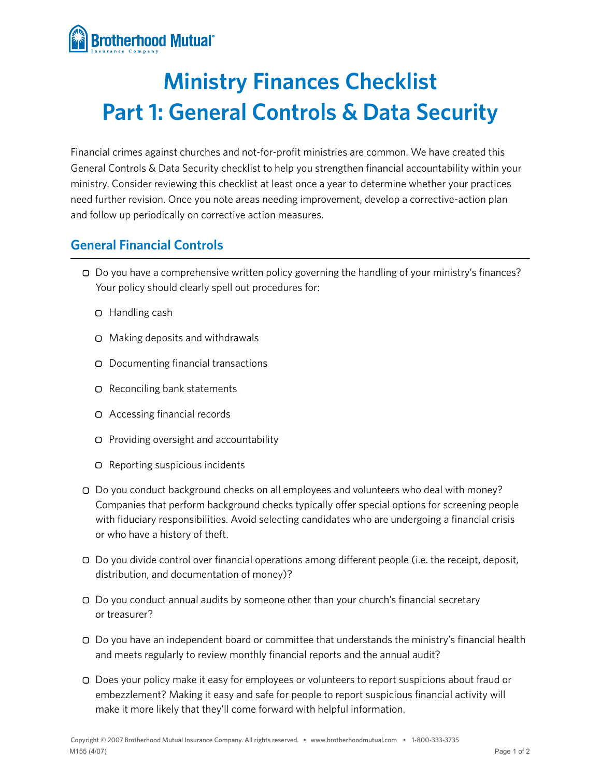

## **Ministry Finances Checklist Part 1: General Controls & Data Security**

Financial crimes against churches and not-for-profit ministries are common. We have created this General Controls & Data Security checklist to help you strengthen financial accountability within your ministry. Consider reviewing this checklist at least once a year to determine whether your practices need further revision. Once you note areas needing improvement, develop a corrective-action plan and follow up periodically on corrective action measures.

## **General Financial Controls**

- Do you have a comprehensive written policy governing the handling of your ministry's finances? Your policy should clearly spell out procedures for:
	- Handling cash
	- Making deposits and withdrawals
	- Documenting financial transactions
	- □ Reconciling bank statements
	- Accessing financial records
	- $\Box$  Providing oversight and accountability
	- Reporting suspicious incidents
- Do you conduct background checks on all employees and volunteers who deal with money? Companies that perform background checks typically offer special options for screening people with fiduciary responsibilities. Avoid selecting candidates who are undergoing a financial crisis or who have a history of theft.
- Do you divide control over financial operations among different people (i.e. the receipt, deposit, distribution, and documentation of money)?
- Do you conduct annual audits by someone other than your church's financial secretary or treasurer?
- Do you have an independent board or committee that understands the ministry's financial health and meets regularly to review monthly financial reports and the annual audit?
- Does your policy make it easy for employees or volunteers to report suspicions about fraud or embezzlement? Making it easy and safe for people to report suspicious financial activity will make it more likely that they'll come forward with helpful information.